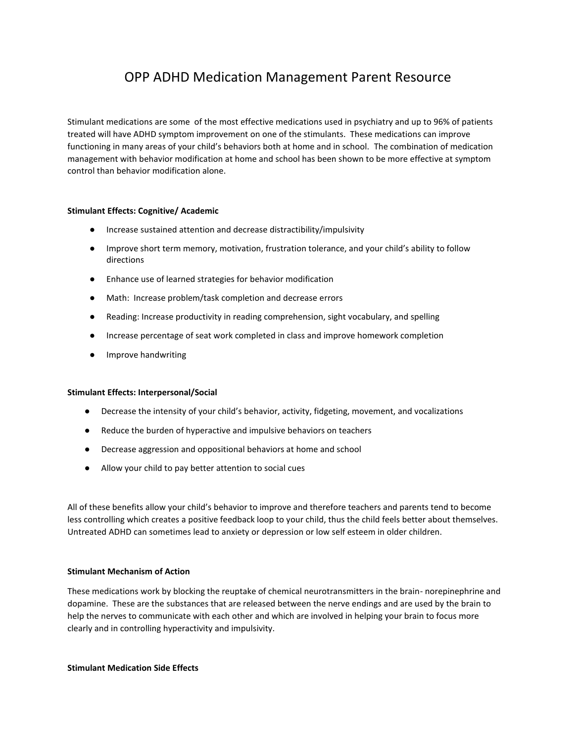# OPP ADHD Medication Management Parent Resource

Stimulant medications are some of the most effective medications used in psychiatry and up to 96% of patients treated will have ADHD symptom improvement on one of the stimulants. These medications can improve functioning in many areas of your child's behaviors both at home and in school. The combination of medication management with behavior modification at home and school has been shown to be more effective at symptom control than behavior modification alone.

# **Stimulant Effects: Cognitive/ Academic**

- Increase sustained attention and decrease distractibility/impulsivity
- Improve short term memory, motivation, frustration tolerance, and your child's ability to follow directions
- Enhance use of learned strategies for behavior modification
- Math: Increase problem/task completion and decrease errors
- Reading: Increase productivity in reading comprehension, sight vocabulary, and spelling
- Increase percentage of seat work completed in class and improve homework completion
- Improve handwriting

### **Stimulant Effects: Interpersonal/Social**

- Decrease the intensity of your child's behavior, activity, fidgeting, movement, and vocalizations
- Reduce the burden of hyperactive and impulsive behaviors on teachers
- Decrease aggression and oppositional behaviors at home and school
- Allow your child to pay better attention to social cues

All of these benefits allow your child's behavior to improve and therefore teachers and parents tend to become less controlling which creates a positive feedback loop to your child, thus the child feels better about themselves. Untreated ADHD can sometimes lead to anxiety or depression or low self esteem in older children.

# **Stimulant Mechanism of Action**

These medications work by blocking the reuptake of chemical neurotransmitters in the brain- norepinephrine and dopamine. These are the substances that are released between the nerve endings and are used by the brain to help the nerves to communicate with each other and which are involved in helping your brain to focus more clearly and in controlling hyperactivity and impulsivity.

#### **Stimulant Medication Side Effects**